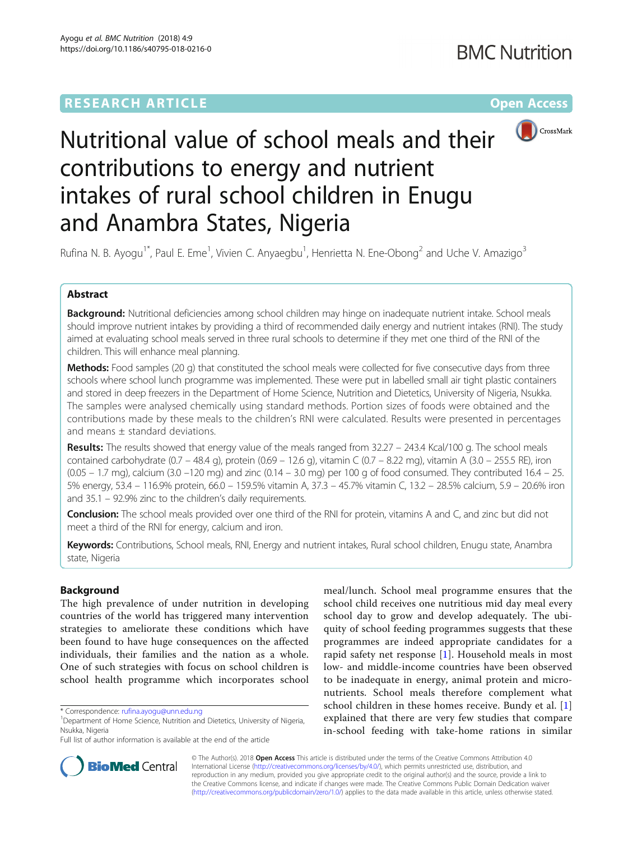# **RESEARCH ARTICLE Example 2014 12:30 The Contract of Contract ACCESS**



# Nutritional value of school meals and their contributions to energy and nutrient intakes of rural school children in Enugu and Anambra States, Nigeria

Rufina N. B. Ayogu<sup>1\*</sup>, Paul E. Eme<sup>1</sup>, Vivien C. Anyaegbu<sup>1</sup>, Henrietta N. Ene-Obong<sup>2</sup> and Uche V. Amazigo<sup>3</sup>

# Abstract

Background: Nutritional deficiencies among school children may hinge on inadequate nutrient intake. School meals should improve nutrient intakes by providing a third of recommended daily energy and nutrient intakes (RNI). The study aimed at evaluating school meals served in three rural schools to determine if they met one third of the RNI of the children. This will enhance meal planning.

Methods: Food samples (20 g) that constituted the school meals were collected for five consecutive days from three schools where school lunch programme was implemented. These were put in labelled small air tight plastic containers and stored in deep freezers in the Department of Home Science, Nutrition and Dietetics, University of Nigeria, Nsukka. The samples were analysed chemically using standard methods. Portion sizes of foods were obtained and the contributions made by these meals to the children's RNI were calculated. Results were presented in percentages and means ± standard deviations.

**Results:** The results showed that energy value of the meals ranged from  $32.27 - 243.4$  Kcal/100 g. The school meals contained carbohydrate (0.7 – 48.4 g), protein (0.69 – 12.6 g), vitamin C (0.7 – 8.22 mg), vitamin A (3.0 – 255.5 RE), iron  $(0.05 - 1.7 \text{ mg})$ , calcium  $(3.0 - 120 \text{ mg})$  and zinc  $(0.14 - 3.0 \text{ mg})$  per 100 g of food consumed. They contributed  $16.4 - 25.$ 5% energy, 53.4 – 116.9% protein, 66.0 – 159.5% vitamin A, 37.3 – 45.7% vitamin C, 13.2 – 28.5% calcium, 5.9 – 20.6% iron and 35.1 – 92.9% zinc to the children's daily requirements.

Conclusion: The school meals provided over one third of the RNI for protein, vitamins A and C, and zinc but did not meet a third of the RNI for energy, calcium and iron.

Keywords: Contributions, School meals, RNI, Energy and nutrient intakes, Rural school children, Enugu state, Anambra state, Nigeria

# Background

The high prevalence of under nutrition in developing countries of the world has triggered many intervention strategies to ameliorate these conditions which have been found to have huge consequences on the affected individuals, their families and the nation as a whole. One of such strategies with focus on school children is school health programme which incorporates school

meal/lunch. School meal programme ensures that the school child receives one nutritious mid day meal every school day to grow and develop adequately. The ubiquity of school feeding programmes suggests that these programmes are indeed appropriate candidates for a rapid safety net response [[1\]](#page-9-0). Household meals in most low- and middle-income countries have been observed to be inadequate in energy, animal protein and micronutrients. School meals therefore complement what school children in these homes receive. Bundy et al. [\[1](#page-9-0)] explained that there are very few studies that compare in-school feeding with take-home rations in similar



© The Author(s). 2018 Open Access This article is distributed under the terms of the Creative Commons Attribution 4.0 International License [\(http://creativecommons.org/licenses/by/4.0/](http://creativecommons.org/licenses/by/4.0/)), which permits unrestricted use, distribution, and reproduction in any medium, provided you give appropriate credit to the original author(s) and the source, provide a link to the Creative Commons license, and indicate if changes were made. The Creative Commons Public Domain Dedication waiver [\(http://creativecommons.org/publicdomain/zero/1.0/](http://creativecommons.org/publicdomain/zero/1.0/)) applies to the data made available in this article, unless otherwise stated.

<sup>\*</sup> Correspondence: [rufina.ayogu@unn.edu.ng](mailto:rufina.ayogu@unn.edu.ng) <sup>1</sup>

<sup>&</sup>lt;sup>1</sup>Department of Home Science, Nutrition and Dietetics, University of Nigeria, Nsukka, Nigeria

Full list of author information is available at the end of the article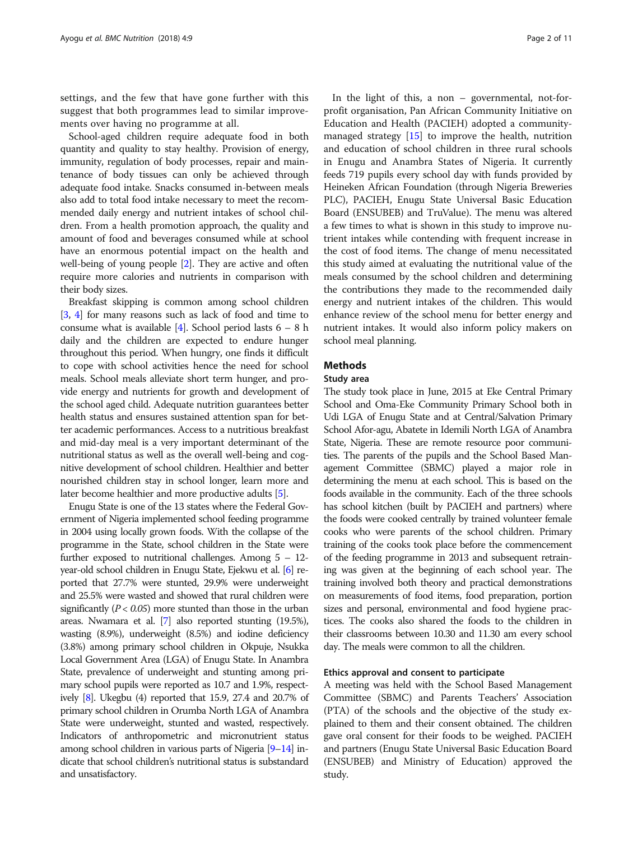settings, and the few that have gone further with this suggest that both programmes lead to similar improvements over having no programme at all.

School-aged children require adequate food in both quantity and quality to stay healthy. Provision of energy, immunity, regulation of body processes, repair and maintenance of body tissues can only be achieved through adequate food intake. Snacks consumed in-between meals also add to total food intake necessary to meet the recommended daily energy and nutrient intakes of school children. From a health promotion approach, the quality and amount of food and beverages consumed while at school have an enormous potential impact on the health and well-being of young people [\[2\]](#page-9-0). They are active and often require more calories and nutrients in comparison with their body sizes.

Breakfast skipping is common among school children [[3](#page-9-0), [4](#page-9-0)] for many reasons such as lack of food and time to consume what is available [\[4](#page-9-0)]. School period lasts  $6 - 8$  h daily and the children are expected to endure hunger throughout this period. When hungry, one finds it difficult to cope with school activities hence the need for school meals. School meals alleviate short term hunger, and provide energy and nutrients for growth and development of the school aged child. Adequate nutrition guarantees better health status and ensures sustained attention span for better academic performances. Access to a nutritious breakfast and mid-day meal is a very important determinant of the nutritional status as well as the overall well-being and cognitive development of school children. Healthier and better nourished children stay in school longer, learn more and later become healthier and more productive adults [[5](#page-9-0)].

Enugu State is one of the 13 states where the Federal Government of Nigeria implemented school feeding programme in 2004 using locally grown foods. With the collapse of the programme in the State, school children in the State were further exposed to nutritional challenges. Among 5 – 12 year-old school children in Enugu State, Ejekwu et al. [\[6\]](#page-9-0) reported that 27.7% were stunted, 29.9% were underweight and 25.5% were wasted and showed that rural children were significantly ( $P < 0.05$ ) more stunted than those in the urban areas. Nwamara et al. [[7](#page-9-0)] also reported stunting (19.5%), wasting (8.9%), underweight (8.5%) and iodine deficiency (3.8%) among primary school children in Okpuje, Nsukka Local Government Area (LGA) of Enugu State. In Anambra State, prevalence of underweight and stunting among primary school pupils were reported as 10.7 and 1.9%, respectively [[8](#page-9-0)]. Ukegbu (4) reported that 15.9, 27.4 and 20.7% of primary school children in Orumba North LGA of Anambra State were underweight, stunted and wasted, respectively. Indicators of anthropometric and micronutrient status among school children in various parts of Nigeria [\[9](#page-9-0)–[14\]](#page-9-0) indicate that school children's nutritional status is substandard and unsatisfactory.

In the light of this, a non – governmental, not-forprofit organisation, Pan African Community Initiative on Education and Health (PACIEH) adopted a communitymanaged strategy  $[15]$  to improve the health, nutrition and education of school children in three rural schools in Enugu and Anambra States of Nigeria. It currently feeds 719 pupils every school day with funds provided by Heineken African Foundation (through Nigeria Breweries PLC), PACIEH, Enugu State Universal Basic Education Board (ENSUBEB) and TruValue). The menu was altered a few times to what is shown in this study to improve nutrient intakes while contending with frequent increase in the cost of food items. The change of menu necessitated this study aimed at evaluating the nutritional value of the meals consumed by the school children and determining the contributions they made to the recommended daily energy and nutrient intakes of the children. This would enhance review of the school menu for better energy and nutrient intakes. It would also inform policy makers on school meal planning.

# **Methods**

#### Study area

The study took place in June, 2015 at Eke Central Primary School and Oma-Eke Community Primary School both in Udi LGA of Enugu State and at Central/Salvation Primary School Afor-agu, Abatete in Idemili North LGA of Anambra State, Nigeria. These are remote resource poor communities. The parents of the pupils and the School Based Management Committee (SBMC) played a major role in determining the menu at each school. This is based on the foods available in the community. Each of the three schools has school kitchen (built by PACIEH and partners) where the foods were cooked centrally by trained volunteer female cooks who were parents of the school children. Primary training of the cooks took place before the commencement of the feeding programme in 2013 and subsequent retraining was given at the beginning of each school year. The training involved both theory and practical demonstrations on measurements of food items, food preparation, portion sizes and personal, environmental and food hygiene practices. The cooks also shared the foods to the children in their classrooms between 10.30 and 11.30 am every school day. The meals were common to all the children.

#### Ethics approval and consent to participate

A meeting was held with the School Based Management Committee (SBMC) and Parents Teachers' Association (PTA) of the schools and the objective of the study explained to them and their consent obtained. The children gave oral consent for their foods to be weighed. PACIEH and partners (Enugu State Universal Basic Education Board (ENSUBEB) and Ministry of Education) approved the study.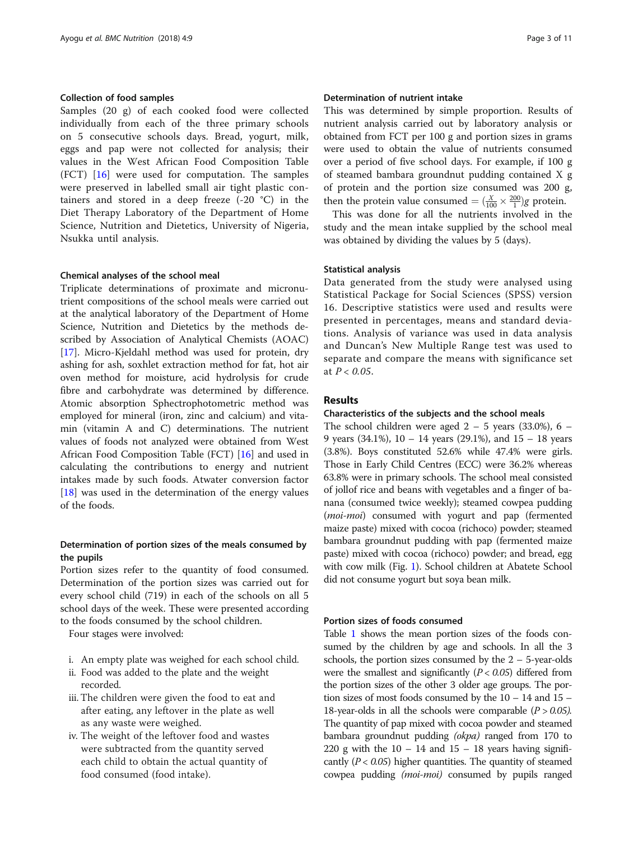#### Collection of food samples

Samples (20 g) of each cooked food were collected individually from each of the three primary schools on 5 consecutive schools days. Bread, yogurt, milk, eggs and pap were not collected for analysis; their values in the West African Food Composition Table (FCT) [[16\]](#page-9-0) were used for computation. The samples were preserved in labelled small air tight plastic containers and stored in a deep freeze (-20 °C) in the Diet Therapy Laboratory of the Department of Home Science, Nutrition and Dietetics, University of Nigeria, Nsukka until analysis.

#### Chemical analyses of the school meal

Triplicate determinations of proximate and micronutrient compositions of the school meals were carried out at the analytical laboratory of the Department of Home Science, Nutrition and Dietetics by the methods described by Association of Analytical Chemists (AOAC) [[17\]](#page-9-0). Micro-Kjeldahl method was used for protein, dry ashing for ash, soxhlet extraction method for fat, hot air oven method for moisture, acid hydrolysis for crude fibre and carbohydrate was determined by difference. Atomic absorption Sphectrophotometric method was employed for mineral (iron, zinc and calcium) and vitamin (vitamin A and C) determinations. The nutrient values of foods not analyzed were obtained from West African Food Composition Table (FCT) [\[16](#page-9-0)] and used in calculating the contributions to energy and nutrient intakes made by such foods. Atwater conversion factor [[18\]](#page-9-0) was used in the determination of the energy values of the foods.

# Determination of portion sizes of the meals consumed by the pupils

Portion sizes refer to the quantity of food consumed. Determination of the portion sizes was carried out for every school child (719) in each of the schools on all 5 school days of the week. These were presented according to the foods consumed by the school children.

Four stages were involved:

- i. An empty plate was weighed for each school child.
- ii. Food was added to the plate and the weight recorded.
- iii. The children were given the food to eat and after eating, any leftover in the plate as well as any waste were weighed.
- iv. The weight of the leftover food and wastes were subtracted from the quantity served each child to obtain the actual quantity of food consumed (food intake).

#### Determination of nutrient intake

This was determined by simple proportion. Results of nutrient analysis carried out by laboratory analysis or obtained from FCT per 100 g and portion sizes in grams were used to obtain the value of nutrients consumed over a period of five school days. For example, if 100 g of steamed bambara groundnut pudding contained X g of protein and the portion size consumed was 200 g, then the protein value consumed  $= (\frac{X}{100} \times \frac{200}{1})g$  protein.

This was done for all the nutrients involved in the study and the mean intake supplied by the school meal was obtained by dividing the values by 5 (days).

#### Statistical analysis

Data generated from the study were analysed using Statistical Package for Social Sciences (SPSS) version 16. Descriptive statistics were used and results were presented in percentages, means and standard deviations. Analysis of variance was used in data analysis and Duncan's New Multiple Range test was used to separate and compare the means with significance set at  $P < 0.05$ .

### Results

#### Characteristics of the subjects and the school meals

The school children were aged  $2 - 5$  years (33.0%), 6 – 9 years (34.1%), 10 – 14 years (29.1%), and 15 – 18 years (3.8%). Boys constituted 52.6% while 47.4% were girls. Those in Early Child Centres (ECC) were 36.2% whereas 63.8% were in primary schools. The school meal consisted of jollof rice and beans with vegetables and a finger of banana (consumed twice weekly); steamed cowpea pudding (moi-moi) consumed with yogurt and pap (fermented maize paste) mixed with cocoa (richoco) powder; steamed bambara groundnut pudding with pap (fermented maize paste) mixed with cocoa (richoco) powder; and bread, egg with cow milk (Fig. [1](#page-3-0)). School children at Abatete School did not consume yogurt but soya bean milk.

# Portion sizes of foods consumed

Table [1](#page-4-0) shows the mean portion sizes of the foods consumed by the children by age and schools. In all the 3 schools, the portion sizes consumed by the  $2 - 5$ -year-olds were the smallest and significantly  $(P < 0.05)$  differed from the portion sizes of the other 3 older age groups. The portion sizes of most foods consumed by the 10 – 14 and 15 – 18-year-olds in all the schools were comparable  $(P > 0.05)$ . The quantity of pap mixed with cocoa powder and steamed bambara groundnut pudding (okpa) ranged from 170 to 220 g with the  $10 - 14$  and  $15 - 18$  years having significantly ( $P < 0.05$ ) higher quantities. The quantity of steamed cowpea pudding (moi-moi) consumed by pupils ranged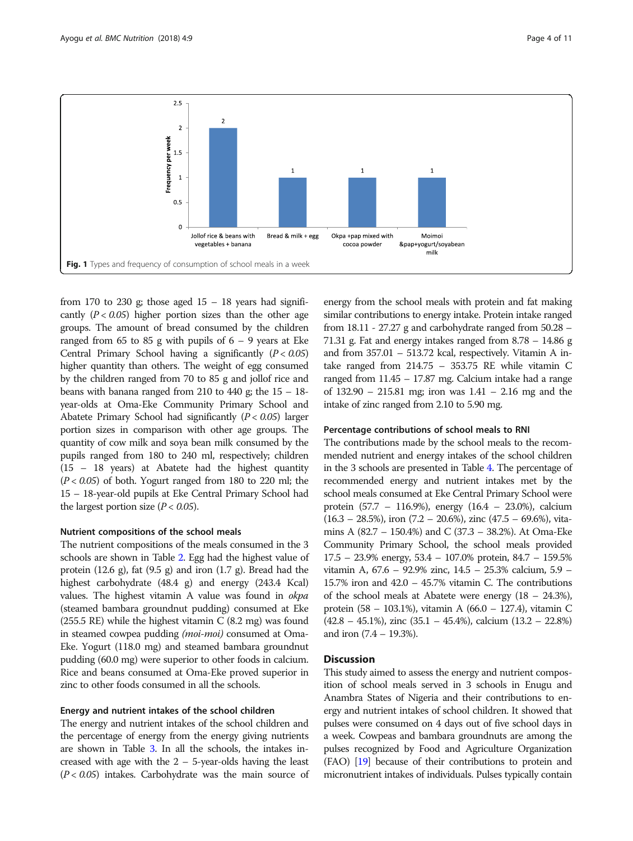<span id="page-3-0"></span>

from 170 to 230 g; those aged  $15 - 18$  years had significantly  $(P < 0.05)$  higher portion sizes than the other age groups. The amount of bread consumed by the children ranged from 65 to 85 g with pupils of  $6 - 9$  years at Eke Central Primary School having a significantly  $(P < 0.05)$ higher quantity than others. The weight of egg consumed by the children ranged from 70 to 85 g and jollof rice and beans with banana ranged from 210 to 440 g; the  $15 - 18$ year-olds at Oma-Eke Community Primary School and Abatete Primary School had significantly  $(P < 0.05)$  larger portion sizes in comparison with other age groups. The quantity of cow milk and soya bean milk consumed by the pupils ranged from 180 to 240 ml, respectively; children (15 – 18 years) at Abatete had the highest quantity  $(P < 0.05)$  of both. Yogurt ranged from 180 to 220 ml; the 15 – 18-year-old pupils at Eke Central Primary School had the largest portion size ( $P < 0.05$ ).

#### Nutrient compositions of the school meals

The nutrient compositions of the meals consumed in the 3 schools are shown in Table [2](#page-5-0). Egg had the highest value of protein (12.6 g), fat (9.5 g) and iron (1.7 g). Bread had the highest carbohydrate (48.4 g) and energy (243.4 Kcal) values. The highest vitamin A value was found in okpa (steamed bambara groundnut pudding) consumed at Eke (255.5 RE) while the highest vitamin  $C$  (8.2 mg) was found in steamed cowpea pudding (moi-moi) consumed at Oma-Eke. Yogurt (118.0 mg) and steamed bambara groundnut pudding (60.0 mg) were superior to other foods in calcium. Rice and beans consumed at Oma-Eke proved superior in zinc to other foods consumed in all the schools.

#### Energy and nutrient intakes of the school children

The energy and nutrient intakes of the school children and the percentage of energy from the energy giving nutrients are shown in Table [3.](#page-6-0) In all the schools, the intakes increased with age with the  $2 - 5$ -year-olds having the least  $(P < 0.05)$  intakes. Carbohydrate was the main source of energy from the school meals with protein and fat making similar contributions to energy intake. Protein intake ranged from 18.11 - 27.27 g and carbohydrate ranged from 50.28 – 71.31 g. Fat and energy intakes ranged from 8.78 – 14.86 g and from 357.01 – 513.72 kcal, respectively. Vitamin A intake ranged from 214.75 – 353.75 RE while vitamin C ranged from 11.45 – 17.87 mg. Calcium intake had a range of 132.90 – 215.81 mg; iron was 1.41 – 2.16 mg and the intake of zinc ranged from 2.10 to 5.90 mg.

#### Percentage contributions of school meals to RNI

The contributions made by the school meals to the recommended nutrient and energy intakes of the school children in the 3 schools are presented in Table [4.](#page-7-0) The percentage of recommended energy and nutrient intakes met by the school meals consumed at Eke Central Primary School were protein (57.7 – 116.9%), energy (16.4 – 23.0%), calcium  $(16.3 - 28.5\%)$ , iron  $(7.2 - 20.6\%)$ , zinc  $(47.5 - 69.6\%)$ , vitamins A (82.7 – 150.4%) and C (37.3 – 38.2%). At Oma-Eke Community Primary School, the school meals provided 17.5 – 23.9% energy, 53.4 – 107.0% protein, 84.7 – 159.5% vitamin A, 67.6 – 92.9% zinc, 14.5 – 25.3% calcium, 5.9 – 15.7% iron and 42.0 – 45.7% vitamin C. The contributions of the school meals at Abatete were energy (18 – 24.3%), protein (58 – 103.1%), vitamin A (66.0 – 127.4), vitamin C  $(42.8 - 45.1\%)$ , zinc  $(35.1 - 45.4\%)$ , calcium  $(13.2 - 22.8\%)$ and iron (7.4 – 19.3%).

### **Discussion**

This study aimed to assess the energy and nutrient composition of school meals served in 3 schools in Enugu and Anambra States of Nigeria and their contributions to energy and nutrient intakes of school children. It showed that pulses were consumed on 4 days out of five school days in a week. Cowpeas and bambara groundnuts are among the pulses recognized by Food and Agriculture Organization (FAO) [[19](#page-9-0)] because of their contributions to protein and micronutrient intakes of individuals. Pulses typically contain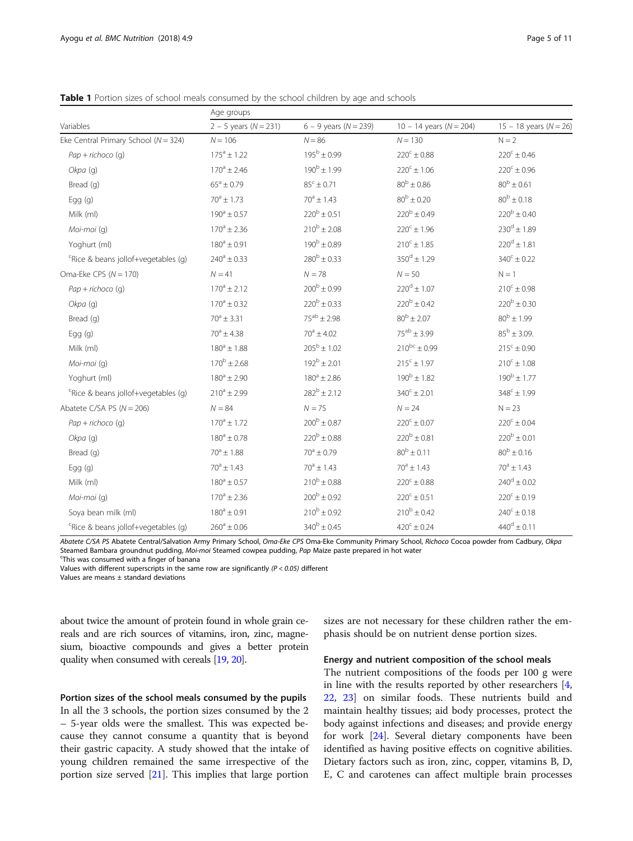<span id="page-4-0"></span>Table 1 Portion sizes of school meals consumed by the school children by age and schools

|                                                 | Age groups                  |                             |                               |                            |
|-------------------------------------------------|-----------------------------|-----------------------------|-------------------------------|----------------------------|
| Variables                                       | $2 - 5$ years ( $N = 231$ ) | $6 - 9$ years ( $N = 239$ ) | $10 - 14$ years ( $N = 204$ ) | 15 - 18 years ( $N = 26$ ) |
| Eke Central Primary School ( $N = 324$ )        | $N = 106$                   | $N = 86$                    | $N = 130$                     | $N = 2$                    |
| $Pap + richoco(q)$                              | $175^a \pm 1.22$            | $195^{\rm b} \pm 0.99$      | $220^{\circ} \pm 0.88$        | $220^{\circ} \pm 0.46$     |
| Okpa (g)                                        | $170^{\rm a} \pm 2.46$      | $190^b \pm 1.99$            | $220^{\circ} \pm 1.06$        | $220^{\rm c} \pm 0.96$     |
| Bread (g)                                       | $65^a \pm 0.79$             | $85^{\circ} \pm 0.71$       | $80^{\rm b} \pm 0.86$         | $80^{b} \pm 0.61$          |
| Egg $(g)$                                       | $70^a \pm 1.73$             | $70^a \pm 1.43$             | $80^{\rm b} \pm 0.20$         | $80^{b} \pm 0.18$          |
| Milk (ml)                                       | $190^a \pm 0.57$            | $220^b \pm 0.51$            | $220^b \pm 0.49$              | $220^b \pm 0.40$           |
| Moi-moi (q)                                     | $170^{\circ}$ ± 2.36        | $210^b \pm 2.08$            | $220^{\circ} \pm 1.96$        | $230^d \pm 1.89$           |
| Yoghurt (ml)                                    | $180^a \pm 0.91$            | $190^{\rm b} \pm 0.89$      | $210^{\circ} \pm 1.85$        | $220^d \pm 1.81$           |
| <sup>c</sup> Rice & beans jollof+vegetables (g) | $240^a \pm 0.33$            | $280^{\rm b}\pm0.33$        | $350^{\rm d} \pm 1.29$        | $340^{\circ} \pm 0.22$     |
| Oma-Eke CPS ( $N = 170$ )                       | $N = 41$                    | $N = 78$                    | $N = 50$                      | $N = 1$                    |
| $Pap + richoco(q)$                              | $170^a \pm 2.12$            | $200^{\rm b} \pm 0.99$      | $220^d \pm 1.07$              | $210^{\circ} \pm 0.98$     |
| Okpa (g)                                        | $170^a \pm 0.32$            | $220^b \pm 0.33$            | $220^b \pm 0.42$              | $220^b \pm 0.30$           |
| Bread (g)                                       | $70^{\circ} \pm 3.31$       | $75^{ab} \pm 2.98$          | $80^{\rm b} \pm 2.07$         | $80^{\rm b} \pm 1.99$      |
| Egg $(g)$                                       | $70^a \pm 4.38$             | $70^a \pm 4.02$             | $75^{ab} \pm 3.99$            | $85^{\rm b} \pm 3.09.$     |
| Milk (ml)                                       | $180^{\rm a} \pm 1.88$      | $205^{\rm b} \pm 1.02$      | $210^{bc} \pm 0.99$           | $215^c \pm 0.90$           |
| Moi-moi (q)                                     | $170^b \pm 2.68$            | $192^b \pm 2.01$            | $215^c \pm 1.97$              | $210^{\circ} \pm 1.08$     |
| Yoghurt (ml)                                    | $180^{\rm a} \pm 2.90$      | $180^a \pm 2.86$            | $190^b \pm 1.82$              | $190^b \pm 1.77$           |
| <sup>c</sup> Rice & beans jollof+vegetables (g) | $210^a \pm 2.99$            | $282^b \pm 2.12$            | $340^{\circ} \pm 2.01$        | $348^c \pm 1.99$           |
| Abatete C/SA PS ( $N = 206$ )                   | $N = 84$                    | $N = 75$                    | $N = 24$                      | $N = 23$                   |
| $Pap + richoco (g)$                             | $170^a \pm 1.72$            | $200^{\rm b} \pm 0.87$      | $220^{\circ} \pm 0.07$        | $220^{\circ} \pm 0.04$     |
| Okpa (g)                                        | $180^a \pm 0.78$            | $220^{\rm b}\pm0.88$        | $220^b \pm 0.81$              | $220^b \pm 0.01$           |
| Bread (g)                                       | $70^{\circ} \pm 1.88$       | $70^{\rm a} \pm 0.79$       | $80^{b} \pm 0.11$             | $80^{\rm b} \pm 0.16$      |
| Egg $(g)$                                       | $70^a \pm 1.43$             | $70^a \pm 1.43$             | $70^{\rm a} \pm 1.43$         | $70^a \pm 1.43$            |
| Milk (ml)                                       | $180^a \pm 0.57$            | $210^{\rm b} \pm 0.88$      | $220^{\circ} \pm 0.88$        | $240^{\rm d} \pm 0.02$     |
| Moi-moi (q)                                     | $170^a \pm 2.36$            | $200^{\rm b} \pm 0.92$      | $220^{\circ} \pm 0.51$        | $220^{\circ} \pm 0.19$     |
| Soya bean milk (ml)                             | $180^{\rm a} \pm 0.91$      | $210^{b} \pm 0.92$          | $210^{b} \pm 0.42$            | $240^{\circ} \pm 0.18$     |
| <sup>c</sup> Rice & beans jollof+vegetables (g) | $260^{\rm a}\pm0.06$        | $340^{b} \pm 0.45$          | $420^{\circ} \pm 0.24$        | $440^d \pm 0.11$           |

Abatete C/SA PS Abatete Central/Salvation Army Primary School, Oma-Eke CPS Oma-Eke Community Primary School, Richoco Cocoa powder from Cadbury, Okpa Steamed Bambara groundnut pudding, Moi-moi Steamed cowpea pudding, Pap Maize paste prepared in hot water

This was consumed with a finger of banana

Values with different superscripts in the same row are significantly ( $P < 0.05$ ) different

Values are means ± standard deviations

about twice the amount of protein found in whole grain cereals and are rich sources of vitamins, iron, zinc, magnesium, bioactive compounds and gives a better protein quality when consumed with cereals [\[19](#page-9-0), [20](#page-9-0)].

Portion sizes of the school meals consumed by the pupils In all the 3 schools, the portion sizes consumed by the 2 – 5-year olds were the smallest. This was expected because they cannot consume a quantity that is beyond their gastric capacity. A study showed that the intake of young children remained the same irrespective of the portion size served [[21\]](#page-9-0). This implies that large portion

sizes are not necessary for these children rather the emphasis should be on nutrient dense portion sizes.

#### Energy and nutrient composition of the school meals

The nutrient compositions of the foods per 100 g were in line with the results reported by other researchers [\[4](#page-9-0), [22,](#page-9-0) [23\]](#page-9-0) on similar foods. These nutrients build and maintain healthy tissues; aid body processes, protect the body against infections and diseases; and provide energy for work [\[24\]](#page-9-0). Several dietary components have been identified as having positive effects on cognitive abilities. Dietary factors such as iron, zinc, copper, vitamins B, D, E, C and carotenes can affect multiple brain processes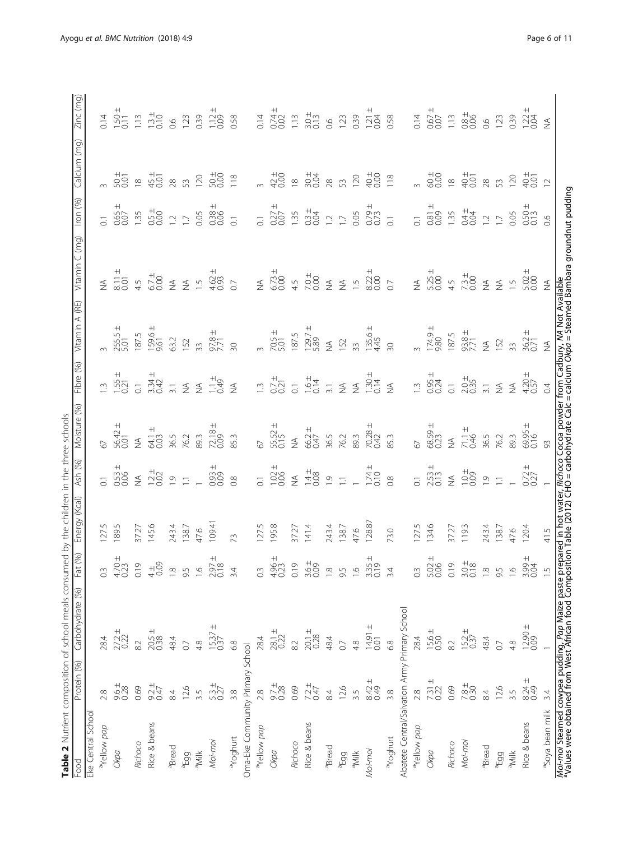| I<br>I                                     |
|--------------------------------------------|
| ֖֖֖֖֚֚֚֚֚֚֬<br>I                           |
| ֚֬<br>l                                    |
| l<br>l<br>į<br>l                           |
| S                                          |
| j<br>l                                     |
| ļ                                          |
|                                            |
| S                                          |
| ļ<br>I                                     |
| $\frac{1}{1}$<br>j<br>Í                    |
| $\vdots$                                   |
|                                            |
| $\frac{1}{2}$<br>l<br>ï                    |
|                                            |
| ֦֦֧֦֖֪֪ׅ֪֪֪֪֦֪֪֪֪֦֖֚֚֚֚֚֚֡֝֝֬֝֬֝֝֓֝֬֝֬֝֬֝֓ |
| $\frac{1}{2}$                              |
| IMAG                                       |

<span id="page-5-0"></span>

| Food                                          | Protein (%)       | Table 2 Nutrient composition of school meals consumed by the children in the three schools<br>(96)<br>Carbohydrate                                                                                                                | Fat (%)                          | Energy (Kcal) | Ash (%)            | Moisture (%)    | Fibre (%)                | Vitamin A (RE)              | Vitamin C (mg)               | Iron (%)                             | Calcium (mg)            | Zinc (mg)                  |
|-----------------------------------------------|-------------------|-----------------------------------------------------------------------------------------------------------------------------------------------------------------------------------------------------------------------------------|----------------------------------|---------------|--------------------|-----------------|--------------------------|-----------------------------|------------------------------|--------------------------------------|-------------------------|----------------------------|
| Eke Central Schoo                             |                   |                                                                                                                                                                                                                                   |                                  |               |                    |                 |                          |                             |                              |                                      |                         |                            |
| ayellow pap                                   | 2.8               | 28.4                                                                                                                                                                                                                              | $\frac{3}{2}$                    | 127.5         | $\overline{0}$     |                 |                          |                             | $\lessapprox$                | $\overline{\circ}$                   |                         | 0.14                       |
| Okpa                                          | $9.6 \pm$<br>0.28 | $27.2 + 0.22$                                                                                                                                                                                                                     | $4.70 + 0.19$<br>0.19            | 189.5         | $0.53 \pm$<br>0.06 | $^{+}$<br>56.42 | $^+$<br>$1.55$<br>$1.55$ | $+1$<br>255.5               | $^+$<br>$\frac{1}{6}$        | $^+$<br>0.65                         | $\frac{100}{200}$       | $1.50 + 0.11$              |
| Richoco                                       | 0.69              | 8.2                                                                                                                                                                                                                               |                                  | 37.27         | $\leq$             | $\leq$          | $\overline{\circ}$       | 187.5                       | 4.5                          | 1.35                                 | $\frac{\infty}{\infty}$ | 1.13                       |
| Rice & beans                                  | $047 + 047$       | $20.5 + 0.38$                                                                                                                                                                                                                     | $^{4+}_{0.09}$                   | 145.6         | $1.21 + 0.02$      | $64.1 + 0.03$   | $^{+}$<br>3.342          | $^+$<br>159.6 :<br>9.61     | $6.7 + 0.00$                 | $0.5 + 0.00$                         | $^{+5.01}_{-5.9}$       | $13 + 0$                   |
| <sup>a</sup> Bread                            | 84                | 48.4                                                                                                                                                                                                                              | $\frac{8}{10}$                   | 243.4         | $\overline{0}$     | 36.5            | $\overline{31}$          | 63.2                        | $\stackrel{\triangle}{\geq}$ | $\overline{C}$                       | 28                      | 66                         |
| bō <sub>le</sub>                              | 126               | $\overline{0}$                                                                                                                                                                                                                    | 9.5                              | 138.7         | $\overline{a}$     | 76.2            | $\lessgtr$               | 152                         | $\stackrel{\triangle}{\geq}$ | $\overline{1}$ .                     | 53                      | 1.23                       |
| AMik                                          | 3.5               | 4.8                                                                                                                                                                                                                               | $\frac{6}{1}$                    | 47.6          |                    | 893             | $\lessgtr$               | $\overline{33}$             | $\ddot{5}$                   | 0.05                                 | 120                     | 0.39                       |
| Moi-moi                                       | $5.3 + 0.27$      | $15.37 \pm 0.37$                                                                                                                                                                                                                  | $^+$<br>2.97                     | 109.41        | $0.93 + 0.09$      | $+$ l<br>72.18  | $\frac{149}{110}$        | $\frac{1278}{771}$          | $4.62 \pm 0.93$              | $0.38 + 0.06$                        | $\frac{20.00}{0.00}$    | $\frac{112}{0.09}$         |
| ayoghurt                                      | 3.8               | 6.8                                                                                                                                                                                                                               | 3.4                              | 73            | 0.8                | 85.3            | $\lessgtr$               | $\frac{1}{20}$              | $\overline{0}$ .             | $\overline{\circ}$                   | 118                     | 0.58                       |
| Oma-Eke Community Primary School              |                   |                                                                                                                                                                                                                                   |                                  |               |                    |                 |                          |                             |                              |                                      |                         |                            |
| ayellow pap                                   | 2.8               | 28.4                                                                                                                                                                                                                              | $\degree$                        | 127.5         | $\overline{\circ}$ | 67              | $\frac{1}{2}$            |                             | $\stackrel{\triangle}{\geq}$ | $\overline{\circ}$                   |                         | 0.14                       |
| Okpa                                          | 0.716             | $\frac{28.1 \pm}{0.22}$                                                                                                                                                                                                           | $\frac{4.96 \pm}{0.23}$          | 195.8         | $1.02 \pm 0.06$    | $^+$<br>55.52   | $0.7 + 0.21$             | $70.5 \pm 5.01$             | $6.73 \pm 0.00$              | $^{\mathrm{+}}$<br>$\frac{27}{0.07}$ | $^{42}_{0.00}$          | $0.74 - 0.02$              |
| Richoco                                       | 0.69              | 8.2                                                                                                                                                                                                                               |                                  | 37.27         | $\lessgtr$         | $\lessgtr$      | $\overline{\circ}$       | 187.5                       | 4.5                          | 1.35                                 | $\frac{8}{10}$          | 1.13                       |
| Rice & beans                                  | $72 + 1047$       | $\frac{20.1 \pm}{0.28}$                                                                                                                                                                                                           | 3.64                             | 141.4         | $^{148}_{0.08}$    | $66.2 \pm 0.00$ | $164 +$                  | $129.7 \pm 5.89$            | $\frac{500}{700}$            | $0.34 + 0.04$                        | $\frac{100}{100}$       |                            |
| a <sub>Bread</sub>                            | 84                | 48.4                                                                                                                                                                                                                              | $\frac{8}{10}$                   | 243.4         | $\overline{0}$     | 36.5            | $\overline{31}$          | $\lessgtr$                  | $\stackrel{\triangle}{\geq}$ | $\overline{1}$                       | 28                      | 66                         |
| <b>bG<sub>le</sub></b>                        | 126               | $\overline{0}$                                                                                                                                                                                                                    | 9.5                              | 138.7         | $\overline{a}$     | 76.2            | $\lessgtr$               | 152                         | $\lessgtr$                   | $\overline{1}$                       | 53                      | 123                        |
| $ MW_e$                                       | 3.5               | 4.8                                                                                                                                                                                                                               | $\frac{6}{10}$                   | 47.6          |                    | 893             | $\lessgtr$               | 33                          | $\overline{1}$ .             | 0.05                                 | 120                     | 0.39                       |
| Moi-moi                                       | $6.42 \pm 0.049$  | $\pm$<br>14.91<br>0.01                                                                                                                                                                                                            | $3.35 + 0.19$                    | 128.87        | $1.74 \pm 0.10$    | $^{+}$<br>70.28 | $1.30 + 0.14$            | $135.6 \pm 4.45$            | $8.22 \pm 0.00$              | $0.79 + 0.010$                       | $\frac{900}{700}$       | $^+$<br>$\frac{121}{0.04}$ |
| ayoghurt                                      | 3.8               | 6.8                                                                                                                                                                                                                               | $\ddot{34}$                      | 73.0          | $\frac{8}{2}$      | 85.3            | $\lessgtr$               | $\overline{30}$             | $\overline{0}$               | $\overline{\circ}$                   | 118                     | 0.58                       |
| Abatete Central/Salvation Army Primary School |                   |                                                                                                                                                                                                                                   |                                  |               |                    |                 |                          |                             |                              |                                      |                         |                            |
| ayellow pap                                   | 2.8               | 28.4                                                                                                                                                                                                                              | $\frac{3}{2}$                    | 127.5         | $\overline{c}$     |                 | $\frac{1}{2}$            |                             | $\lessapprox$                | $\overline{\circ}$                   |                         | 0.14                       |
| Okpa                                          | $731 + 022$       | $^{+}$<br>$\frac{15.6}{0.50}$                                                                                                                                                                                                     | $5.02 \pm 0.06$                  | 134.6         | $2.53 \pm 0.13$    | $+1$<br>6859    | $0.95 + 0.024$           | $174.9 \pm 9.80$            | $5.25 + 0.00$                | $0.81 + 0.09$                        | $\frac{000}{000}$       | $10.67 + 0.07$             |
| Richoco                                       | 0.69              | 82                                                                                                                                                                                                                                | $\circ$<br>$\overline{\text{o}}$ | 37.27         | $\leq$             | $\lessgtr$      | $\overline{\circ}$       | 187.5                       | 4.5                          | 1.35                                 | $\frac{8}{10}$          | 1.13                       |
| Moi-moi                                       | $^{+8.0}_{-80}$   | $15.2 \pm$<br>$\overline{0}3$                                                                                                                                                                                                     | $3.0 + 18$                       | 119.3         | $^{+0.01}_{-0.01}$ | $71.1 + 0.46$   | $2.0 + 5 = 0.35$         | $\frac{93.8}{7.71}$         | $7.3 + 0.00 + 0.00$          | $0.44 + 0.04$                        | $rac{10}{100}$          | $^{+0.8}_{-0.06}$          |
| <sup>a</sup> Bread                            | 84                | 48.4                                                                                                                                                                                                                              | $\frac{8}{10}$                   | 243.4         | $\overline{0}$     | 36.5            | $\overline{3}$ .         | $\lessgtr$                  | $\stackrel{\triangle}{\geq}$ | $\overline{1}$                       | 28                      | 66                         |
| $66$                                          | 12.6              | $\overline{0}$                                                                                                                                                                                                                    | 9.5                              | 138.7         | $\overline{a}$     | 76.2            | $\lessgtr$               | 152                         | $\stackrel{\triangle}{\geq}$ | $\overline{\Box}$                    | 53                      | 1.23                       |
| $a$ Milk                                      | 35                | 4.8                                                                                                                                                                                                                               | $\frac{6}{10}$                   | 47.6          |                    | 893             | $\lessgtr$               | 33                          | $\overline{1}$               | 0.05                                 | 120                     | 0.39                       |
| Rice & beans                                  | $6.24 \pm 0.49$   | $12.90 + 0.09$                                                                                                                                                                                                                    | $+1$<br>3.994                    | 120.4         | $+$ l<br>0.72      | $+$ l<br>69.95  | $420 + 0.57$             | $\pm$<br>$\frac{362}{0.71}$ | $5.02 \pm 0.00$              | $0.50 + 0.13$                        | $^{+0.01}_{-0.01}$      | $^+$<br>122                |
| <sup>a</sup> Soya bean milk                   | 34                |                                                                                                                                                                                                                                   | $\frac{5}{1}$                    | 41.5          |                    | 93              | $\ddot{\circ}$           | $\lessgtr$                  | $\stackrel{\triangle}{\geq}$ | 66                                   | $\approx$               | $\frac{4}{2}$              |
|                                               |                   | Moi-moi Steamed cowpea pudding, Pap Maize paste prepared in hot water, Richoco Cocoa powder from Cadbury, MA Not Available<br>"Values were obtained from West African food Composition Table (2012) CHO = carbohydrate Calc = cal |                                  |               |                    |                 |                          |                             |                              |                                      |                         |                            |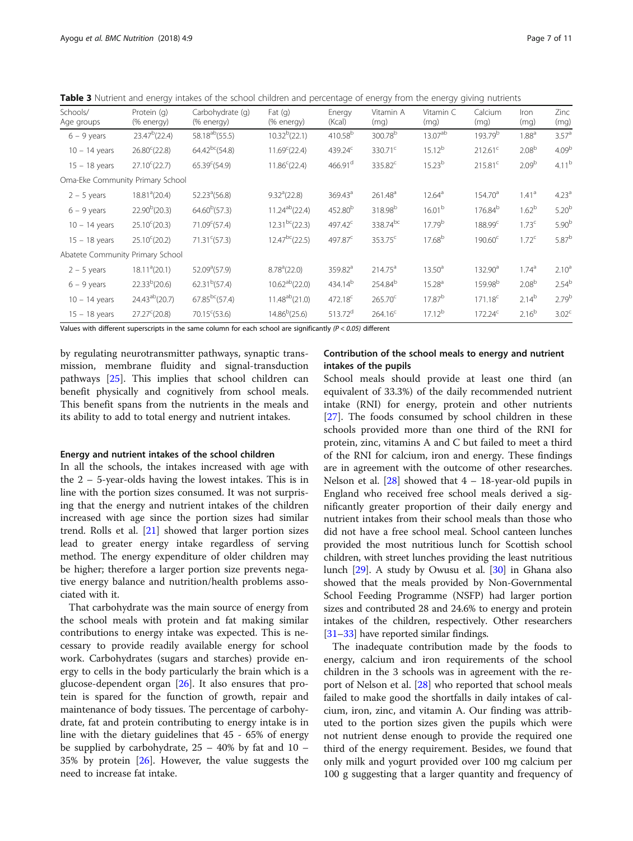<span id="page-6-0"></span>Table 3 Nutrient and energy intakes of the school children and percentage of energy from the energy giving nutrients

| Schools/<br>Age groups           | Protein (g)<br>(% energy) | Carbohydrate (q)<br>(% energy) | Fat $(q)$<br>(% energy)  | Energy<br>(Kcal)    | Vitamin A<br>(mq)   | Vitamin C<br>(mq)   | Calcium<br>(mq)     | Iron<br>(mq)      | Zinc<br>(mq)      |
|----------------------------------|---------------------------|--------------------------------|--------------------------|---------------------|---------------------|---------------------|---------------------|-------------------|-------------------|
| $6 - 9$ years                    | $23.47^{b}(22.4)$         | 58.18 <sup>ab</sup> (55.5)     | $10.32^{b}(22.1)$        | 410.58 <sup>b</sup> | 300.78 <sup>b</sup> | 13.07 <sup>ab</sup> | 193.79 <sup>b</sup> | 1.88 <sup>a</sup> | 3.57 <sup>a</sup> |
| $10 - 14$ years                  | $26.80^{c}(22.8)$         | $64.42^{bc}(54.8)$             | $11.69^c(22.4)$          | 439.24 <sup>c</sup> | 330.71 <sup>c</sup> | $15.12^{b}$         | $212.61^c$          | 2.08 <sup>b</sup> | 4.09 <sup>b</sup> |
| $15 - 18$ years                  | $27.10^{c}(22.7)$         | $65.39^{\circ}(54.9)$          | $11.86^{c}(22.4)$        | 466.91 <sup>d</sup> | 335.82 <sup>c</sup> | 15.23 <sup>b</sup>  | $215.81^c$          | 2.09 <sup>b</sup> | $4.11^{b}$        |
| Oma-Eke Community Primary School |                           |                                |                          |                     |                     |                     |                     |                   |                   |
| $2 - 5$ years                    | 18.81 <sup>a</sup> (20.4) | 52.23 <sup>a</sup> (56.8)      | 9.32 <sup>a</sup> (22.8) | 369.43 <sup>a</sup> | 261.48 <sup>a</sup> | $12.64^a$           | 154.70 <sup>a</sup> | 1.41 <sup>a</sup> | 4.23 <sup>a</sup> |
| $6 - 9$ years                    | $22.90^{b}(20.3)$         | $64.60^{b}(57.3)$              | $11.24^{ab}(22.4)$       | 452.80 <sup>b</sup> | 318.98 <sup>b</sup> | 16.01 <sup>b</sup>  | 176.84 <sup>b</sup> | 1.62 <sup>b</sup> | 5.20 <sup>b</sup> |
| $10 - 14$ years                  | $25.10^{c} (20.3)$        | $71.09^{\circ}$ (57.4)         | $12.31^{bc}(22.3)$       | $497.42^c$          | 338.74bc            | 17.79 <sup>b</sup>  | $188.99^c$          | 1.73 <sup>c</sup> | 5.90 <sup>b</sup> |
| $15 - 18$ years                  | $25.10^{c}(20.2)$         | $71.31^{\circ}(57.3)$          | $12.47^{bc}(22.5)$       | 497.87 <sup>c</sup> | 353.75 <sup>c</sup> | 17.68 <sup>b</sup>  | $190.60^{\circ}$    | 1.72 <sup>c</sup> | $5.87^{b}$        |
| Abatete Community Primary School |                           |                                |                          |                     |                     |                     |                     |                   |                   |
| $2 - 5$ years                    | $18.11^a(20.1)$           | $52.09^{\circ} (57.9)$         | $8.78^{\circ}$ (22.0)    | 359.82 <sup>a</sup> | $214.75^a$          | $13.50^{\circ}$     | $132.90^a$          | 1.74 <sup>a</sup> | 2.10 <sup>a</sup> |
| $6 - 9$ years                    | 22.33 <sup>b</sup> (20.6) | $62.31^{b}(57.4)$              | $10.62^{ab}(22.0)$       | 434.14 <sup>b</sup> | 254.84 <sup>b</sup> | 15.28 <sup>a</sup>  | 159.98 <sup>b</sup> | 2.08 <sup>b</sup> | $2.54^{b}$        |
| $10 - 14$ years                  | $24.43^{ab}(20.7)$        | $67.85^{bc}(57.4)$             | $11.48^{ab}(21.0)$       | $472.18^c$          | $265.70^{\circ}$    | 17.87 <sup>b</sup>  | $171.18^c$          | $2.14^{b}$        | $2.79^{b}$        |
| $15 - 18$ years                  | $27.27^c(20.8)$           | $70.15^{\circ}$ (53.6)         | $14.86^{b}(25.6)$        | $513.72^d$          | $264.16^c$          | $17.12^{b}$         | $172.24^c$          | $2.16^{b}$        | 3.02 <sup>c</sup> |

Values with different superscripts in the same column for each school are significantly  $(P < 0.05)$  different

by regulating neurotransmitter pathways, synaptic transmission, membrane fluidity and signal-transduction pathways [\[25\]](#page-9-0). This implies that school children can benefit physically and cognitively from school meals. This benefit spans from the nutrients in the meals and its ability to add to total energy and nutrient intakes.

#### Energy and nutrient intakes of the school children

In all the schools, the intakes increased with age with the 2 – 5-year-olds having the lowest intakes. This is in line with the portion sizes consumed. It was not surprising that the energy and nutrient intakes of the children increased with age since the portion sizes had similar trend. Rolls et al. [\[21](#page-9-0)] showed that larger portion sizes lead to greater energy intake regardless of serving method. The energy expenditure of older children may be higher; therefore a larger portion size prevents negative energy balance and nutrition/health problems associated with it.

That carbohydrate was the main source of energy from the school meals with protein and fat making similar contributions to energy intake was expected. This is necessary to provide readily available energy for school work. Carbohydrates (sugars and starches) provide energy to cells in the body particularly the brain which is a glucose-dependent organ [\[26\]](#page-9-0). It also ensures that protein is spared for the function of growth, repair and maintenance of body tissues. The percentage of carbohydrate, fat and protein contributing to energy intake is in line with the dietary guidelines that 45 - 65% of energy be supplied by carbohydrate,  $25 - 40\%$  by fat and  $10 -$ 35% by protein [[26\]](#page-9-0). However, the value suggests the need to increase fat intake.

# Contribution of the school meals to energy and nutrient intakes of the pupils

School meals should provide at least one third (an equivalent of 33.3%) of the daily recommended nutrient intake (RNI) for energy, protein and other nutrients [[27\]](#page-9-0). The foods consumed by school children in these schools provided more than one third of the RNI for protein, zinc, vitamins A and C but failed to meet a third of the RNI for calcium, iron and energy. These findings are in agreement with the outcome of other researches. Nelson et al.  $[28]$  $[28]$  showed that  $4 - 18$ -year-old pupils in England who received free school meals derived a significantly greater proportion of their daily energy and nutrient intakes from their school meals than those who did not have a free school meal. School canteen lunches provided the most nutritious lunch for Scottish school children, with street lunches providing the least nutritious lunch [\[29](#page-10-0)]. A study by Owusu et al. [[30](#page-10-0)] in Ghana also showed that the meals provided by Non-Governmental School Feeding Programme (NSFP) had larger portion sizes and contributed 28 and 24.6% to energy and protein intakes of the children, respectively. Other researchers [[31](#page-10-0)–[33\]](#page-10-0) have reported similar findings.

The inadequate contribution made by the foods to energy, calcium and iron requirements of the school children in the 3 schools was in agreement with the report of Nelson et al. [\[28\]](#page-10-0) who reported that school meals failed to make good the shortfalls in daily intakes of calcium, iron, zinc, and vitamin A. Our finding was attributed to the portion sizes given the pupils which were not nutrient dense enough to provide the required one third of the energy requirement. Besides, we found that only milk and yogurt provided over 100 mg calcium per 100 g suggesting that a larger quantity and frequency of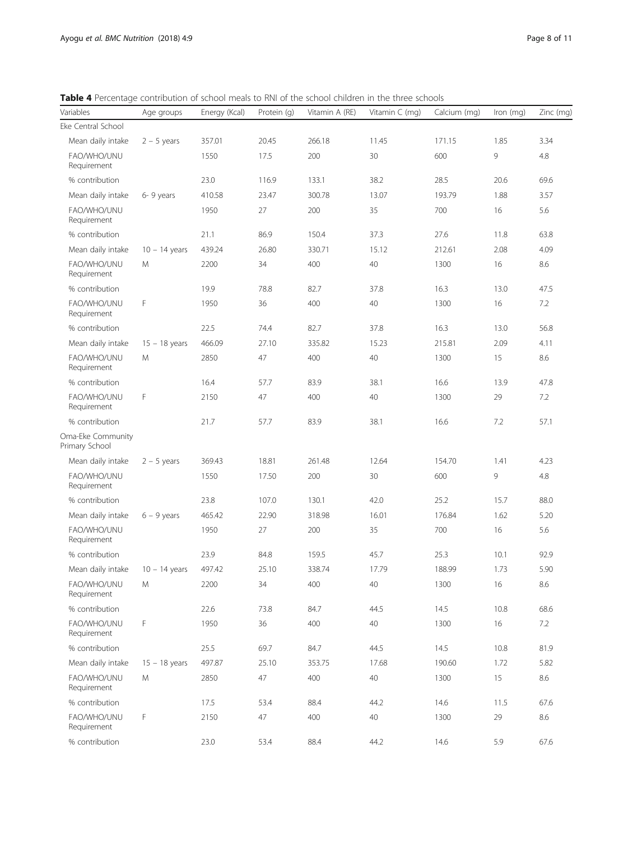<span id="page-7-0"></span>Table 4 Percentage contribution of school meals to RNI of the school children in the three schools

| Variables                           | Age groups      | Energy (Kcal) | Protein (q) | Vitamin A (RE) | Vitamin C (mg) | Calcium (mg) | Iron (mg) | Zinc (mg) |
|-------------------------------------|-----------------|---------------|-------------|----------------|----------------|--------------|-----------|-----------|
| Eke Central School                  |                 |               |             |                |                |              |           |           |
| Mean daily intake                   | $2 - 5$ years   | 357.01        | 20.45       | 266.18         | 11.45          | 171.15       | 1.85      | 3.34      |
| FAO/WHO/UNU<br>Requirement          |                 | 1550          | 17.5        | 200            | 30             | 600          | 9         | 4.8       |
| % contribution                      |                 | 23.0          | 116.9       | 133.1          | 38.2           | 28.5         | 20.6      | 69.6      |
| Mean daily intake                   | 6-9 years       | 410.58        | 23.47       | 300.78         | 13.07          | 193.79       | 1.88      | 3.57      |
| FAO/WHO/UNU<br>Requirement          |                 | 1950          | 27          | 200            | 35             | 700          | 16        | 5.6       |
| % contribution                      |                 | 21.1          | 86.9        | 150.4          | 37.3           | 27.6         | 11.8      | 63.8      |
| Mean daily intake                   | $10 - 14$ years | 439.24        | 26.80       | 330.71         | 15.12          | 212.61       | 2.08      | 4.09      |
| FAO/WHO/UNU<br>Requirement          | M               | 2200          | 34          | 400            | 40             | 1300         | 16        | 8.6       |
| % contribution                      |                 | 19.9          | 78.8        | 82.7           | 37.8           | 16.3         | 13.0      | 47.5      |
| FAO/WHO/UNU<br>Requirement          | F               | 1950          | 36          | 400            | 40             | 1300         | 16        | 7.2       |
| % contribution                      |                 | 22.5          | 74.4        | 82.7           | 37.8           | 16.3         | 13.0      | 56.8      |
| Mean daily intake                   | $15 - 18$ years | 466.09        | 27.10       | 335.82         | 15.23          | 215.81       | 2.09      | 4.11      |
| FAO/WHO/UNU<br>Requirement          | M               | 2850          | 47          | 400            | 40             | 1300         | 15        | 8.6       |
| % contribution                      |                 | 16.4          | 57.7        | 83.9           | 38.1           | 16.6         | 13.9      | 47.8      |
| FAO/WHO/UNU<br>Requirement          | F               | 2150          | 47          | 400            | 40             | 1300         | 29        | 7.2       |
| % contribution                      |                 | 21.7          | 57.7        | 83.9           | 38.1           | 16.6         | 7.2       | 57.1      |
| Oma-Eke Community<br>Primary School |                 |               |             |                |                |              |           |           |
| Mean daily intake                   | $2 - 5$ years   | 369.43        | 18.81       | 261.48         | 12.64          | 154.70       | 1.41      | 4.23      |
| FAO/WHO/UNU<br>Requirement          |                 | 1550          | 17.50       | 200            | 30             | 600          | 9         | 4.8       |
| % contribution                      |                 | 23.8          | 107.0       | 130.1          | 42.0           | 25.2         | 15.7      | 88.0      |
| Mean daily intake                   | $6 - 9$ years   | 465.42        | 22.90       | 318.98         | 16.01          | 176.84       | 1.62      | 5.20      |
| FAO/WHO/UNU<br>Requirement          |                 | 1950          | 27          | 200            | 35             | 700          | 16        | 5.6       |
| % contribution                      |                 | 23.9          | 84.8        | 159.5          | 45.7           | 25.3         | 10.1      | 92.9      |
| Mean daily intake                   | $10 - 14$ years | 497.42        | 25.10       | 338.74         | 17.79          | 188.99       | 1.73      | 5.90      |
| FAO/WHO/UNU<br>Requirement          | M               | 2200          | 34          | 400            | 40             | 1300         | 16        | 8.6       |
| % contribution                      |                 | 22.6          | 73.8        | 84.7           | 44.5           | 14.5         | 10.8      | 68.6      |
| FAO/WHO/UNU<br>Requirement          | F               | 1950          | 36          | 400            | 40             | 1300         | 16        | $7.2\,$   |
| % contribution                      |                 | 25.5          | 69.7        | 84.7           | 44.5           | 14.5         | 10.8      | 81.9      |
| Mean daily intake                   | $15 - 18$ years | 497.87        | 25.10       | 353.75         | 17.68          | 190.60       | 1.72      | 5.82      |
| FAO/WHO/UNU<br>Requirement          | M               | 2850          | $47\,$      | 400            | 40             | 1300         | 15        | 8.6       |
| % contribution                      |                 | 17.5          | 53.4        | 88.4           | 44.2           | 14.6         | 11.5      | 67.6      |
| FAO/WHO/UNU<br>Requirement          | $\mathsf F$     | 2150          | 47          | 400            | 40             | 1300         | 29        | 8.6       |
| % contribution                      |                 | 23.0          | 53.4        | 88.4           | 44.2           | 14.6         | 5.9       | 67.6      |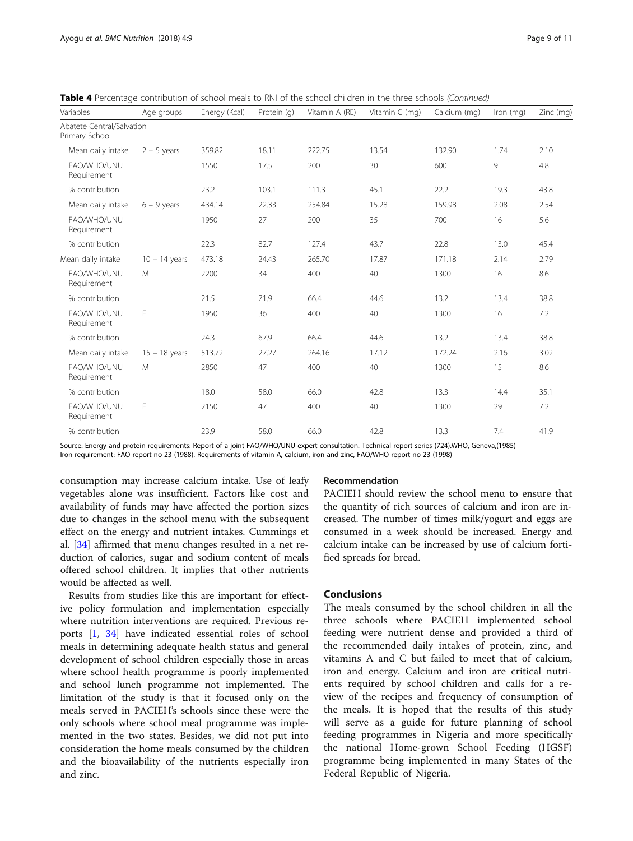Table 4 Percentage contribution of school meals to RNI of the school children in the three schools (Continued)

| Variables                                   | Age groups      | Energy (Kcal) | Protein (g) | Vitamin A (RE) | Vitamin C (mg) | Calcium (mg) | Iron (mg) | Zinc (mg) |
|---------------------------------------------|-----------------|---------------|-------------|----------------|----------------|--------------|-----------|-----------|
| Abatete Central/Salvation<br>Primary School |                 |               |             |                |                |              |           |           |
| Mean daily intake                           | $2 - 5$ years   | 359.82        | 18.11       | 222.75         | 13.54          | 132.90       | 1.74      | 2.10      |
| FAO/WHO/UNU<br>Requirement                  |                 | 1550          | 17.5        | 200            | 30             | 600          | 9         | 4.8       |
| % contribution                              |                 | 23.2          | 103.1       | 111.3          | 45.1           | 22.2         | 19.3      | 43.8      |
| Mean daily intake                           | $6 - 9$ years   | 434.14        | 22.33       | 254.84         | 15.28          | 159.98       | 2.08      | 2.54      |
| FAO/WHO/UNU<br>Requirement                  |                 | 1950          | 27          | 200            | 35             | 700          | 16        | 5.6       |
| % contribution                              |                 | 22.3          | 82.7        | 127.4          | 43.7           | 22.8         | 13.0      | 45.4      |
| Mean daily intake                           | $10 - 14$ years | 473.18        | 24.43       | 265.70         | 17.87          | 171.18       | 2.14      | 2.79      |
| FAO/WHO/UNU<br>Requirement                  | M               | 2200          | 34          | 400            | 40             | 1300         | 16        | 8.6       |
| % contribution                              |                 | 21.5          | 71.9        | 66.4           | 44.6           | 13.2         | 13.4      | 38.8      |
| FAO/WHO/UNU<br>Requirement                  | F               | 1950          | 36          | 400            | 40             | 1300         | 16        | 7.2       |
| % contribution                              |                 | 24.3          | 67.9        | 66.4           | 44.6           | 13.2         | 13.4      | 38.8      |
| Mean daily intake                           | $15 - 18$ years | 513.72        | 27.27       | 264.16         | 17.12          | 172.24       | 2.16      | 3.02      |
| FAO/WHO/UNU<br>Requirement                  | M               | 2850          | 47          | 400            | 40             | 1300         | 15        | 8.6       |
| % contribution                              |                 | 18.0          | 58.0        | 66.0           | 42.8           | 13.3         | 14.4      | 35.1      |
| FAO/WHO/UNU<br>Requirement                  | F               | 2150          | 47          | 400            | 40             | 1300         | 29        | 7.2       |
| % contribution                              |                 | 23.9          | 58.0        | 66.0           | 42.8           | 13.3         | 7.4       | 41.9      |

Source: Energy and protein requirements: Report of a joint FAO/WHO/UNU expert consultation. Technical report series (724).WHO, Geneva,(1985) Iron requirement: FAO report no 23 (1988). Requirements of vitamin A, calcium, iron and zinc, FAO/WHO report no 23 (1998)

consumption may increase calcium intake. Use of leafy vegetables alone was insufficient. Factors like cost and availability of funds may have affected the portion sizes due to changes in the school menu with the subsequent effect on the energy and nutrient intakes. Cummings et al. [\[34](#page-10-0)] affirmed that menu changes resulted in a net reduction of calories, sugar and sodium content of meals offered school children. It implies that other nutrients would be affected as well.

Results from studies like this are important for effective policy formulation and implementation especially where nutrition interventions are required. Previous reports [[1,](#page-9-0) [34](#page-10-0)] have indicated essential roles of school meals in determining adequate health status and general development of school children especially those in areas where school health programme is poorly implemented and school lunch programme not implemented. The limitation of the study is that it focused only on the meals served in PACIEH's schools since these were the only schools where school meal programme was implemented in the two states. Besides, we did not put into consideration the home meals consumed by the children and the bioavailability of the nutrients especially iron and zinc.

# Recommendation

PACIEH should review the school menu to ensure that the quantity of rich sources of calcium and iron are increased. The number of times milk/yogurt and eggs are consumed in a week should be increased. Energy and calcium intake can be increased by use of calcium fortified spreads for bread.

#### Conclusions

The meals consumed by the school children in all the three schools where PACIEH implemented school feeding were nutrient dense and provided a third of the recommended daily intakes of protein, zinc, and vitamins A and C but failed to meet that of calcium, iron and energy. Calcium and iron are critical nutrients required by school children and calls for a review of the recipes and frequency of consumption of the meals. It is hoped that the results of this study will serve as a guide for future planning of school feeding programmes in Nigeria and more specifically the national Home-grown School Feeding (HGSF) programme being implemented in many States of the Federal Republic of Nigeria.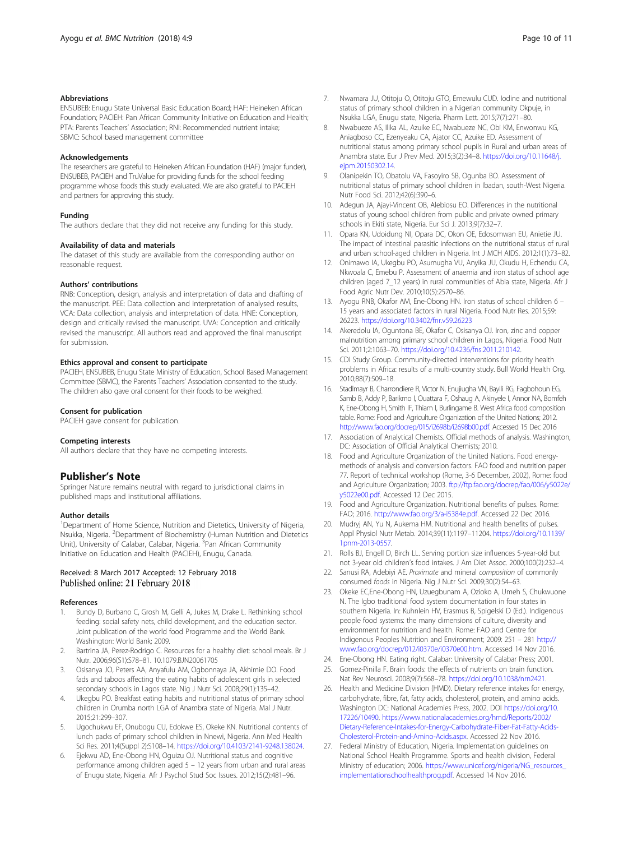#### <span id="page-9-0"></span>Abbreviations

ENSUBEB: Enugu State Universal Basic Education Board; HAF: Heineken African Foundation; PACIEH: Pan African Community Initiative on Education and Health; PTA: Parents Teachers' Association; RNI: Recommended nutrient intake; SBMC: School based management committee

#### Acknowledgements

The researchers are grateful to Heineken African Foundation (HAF) (major funder), ENSUBEB, PACIEH and TruValue for providing funds for the school feeding programme whose foods this study evaluated. We are also grateful to PACIEH and partners for approving this study.

#### Funding

The authors declare that they did not receive any funding for this study.

#### Availability of data and materials

The dataset of this study are available from the corresponding author on reasonable request.

#### Authors' contributions

RNB: Conception, design, analysis and interpretation of data and drafting of the manuscript. PEE: Data collection and interpretation of analysed results, VCA: Data collection, analysis and interpretation of data. HNE: Conception, design and critically revised the manuscript. UVA: Conception and critically revised the manuscript. All authors read and approved the final manuscript for submission.

#### Ethics approval and consent to participate

PACIEH, ENSUBEB, Enugu State Ministry of Education, School Based Management Committee (SBMC), the Parents Teachers' Association consented to the study. The children also gave oral consent for their foods to be weighed.

#### Consent for publication

PACIEH gave consent for publication.

#### Competing interests

All authors declare that they have no competing interests.

#### Publisher's Note

Springer Nature remains neutral with regard to jurisdictional claims in published maps and institutional affiliations.

#### Author details

<sup>1</sup>Department of Home Science, Nutrition and Dietetics, University of Nigeria, Nsukka, Nigeria. <sup>2</sup>Department of Biochemistry (Human Nutrition and Dietetics Unit), University of Calabar, Calabar, Nigeria. <sup>3</sup>Pan African Community Initiative on Education and Health (PACIEH), Enugu, Canada.

#### Received: 8 March 2017 Accepted: 12 February 2018 Published online: 21 February 2018

#### References

- 1. Bundy D, Burbano C, Grosh M, Gelli A, Jukes M, Drake L. Rethinking school feeding: social safety nets, child development, and the education sector. Joint publication of the world food Programme and the World Bank. Washington: World Bank; 2009.
- 2. Bartrina JA, Perez-Rodrigo C. Resources for a healthy diet: school meals. Br J Nutr. 2006;96(S1):S78–81. 10.1079.BJN20061705
- 3. Osisanya JO, Peters AA, Anyafulu AM, Ogbonnaya JA, Akhimie DO. Food fads and taboos affecting the eating habits of adolescent girls in selected secondary schools in Lagos state. Nig J Nutr Sci. 2008;29(1):135–42.
- 4. Ukegbu PO. Breakfast eating habits and nutritional status of primary school children in Orumba north LGA of Anambra state of Nigeria. Mal J Nutr. 2015;21:299–307.
- Ugochukwu EF, Onubogu CU, Edokwe ES, Okeke KN. Nutritional contents of lunch packs of primary school children in Nnewi, Nigeria. Ann Med Health Sci Res. 2011;4(Suppl 2):S108–14. [https://doi.org/10.4103/2141-9248.138024.](https://doi.org/10.4103/2141-9248.138024)
- 6. Ejekwu AD, Ene-Obong HN, Oguizu OJ. Nutritional status and cognitive performance among children aged 5 – 12 years from urban and rural areas of Enugu state, Nigeria. Afr J Psychol Stud Soc Issues. 2012;15(2):481–96.
- 7. Nwamara JU, Otitoju O, Otitoju GTO, Emewulu CUD. Iodine and nutritional status of primary school children in a Nigerian community Okpuje, in Nsukka LGA, Enugu state, Nigeria. Pharm Lett. 2015;7(7):271–80.
- 8. Nwabueze AS, Ilika AL, Azuike EC, Nwabueze NC, Obi KM, Enwonwu KG, Aniagboso CC, Ezenyeaku CA, Ajator CC, Azuike ED. Assessment of nutritional status among primary school pupils in Rural and urban areas of Anambra state. Eur J Prev Med. 2015;3(2):34–8. [https://doi.org/10.11648/j.](https://doi.org/10.11648/j.ejpm.20150302.14) ejpm.20150302.14
- 9. Olanipekin TO, Obatolu VA, Fasoyiro SB, Ogunba BO. Assessment of nutritional status of primary school children in Ibadan, south-West Nigeria. Nutr Food Sci. 2012;42(6):390–6.
- 10. Adegun JA, Ajayi-Vincent OB, Alebiosu EO. Differences in the nutritional status of young school children from public and private owned primary schools in Ekiti state, Nigeria. Eur Sci J. 2013;9(7):32–7.
- 11. Opara KN, Udoidung NI, Opara DC, Okon OE, Edosomwan EU, Anietie JU. The impact of intestinal parasitic infections on the nutritional status of rural and urban school-aged children in Nigeria. Int J MCH AIDS. 2012;1(1):73–82.
- 12. Onimawo IA, Ukegbu PO, Asumugha VU, Anyika JU, Okudu H, Echendu CA, Nkwoala C, Emebu P. Assessment of anaemia and iron status of school age children (aged 7\_12 years) in rural communities of Abia state, Nigeria. Afr J Food Agric Nutr Dev. 2010;10(5):2570–86.
- 13. Ayogu RNB, Okafor AM, Ene-Obong HN. Iron status of school children 6 15 years and associated factors in rural Nigeria. Food Nutr Res. 2015;59: 26223. <https://doi.org/10.3402/fnr.v59.26223>
- 14. Akeredolu IA, Oguntona BE, Okafor C, Osisanya OJ. Iron, zinc and copper malnutrition among primary school children in Lagos, Nigeria. Food Nutr Sci. 2011;2:1063–70. [https://doi.org/10.4236/fns.2011.210142.](https://doi.org/10.4236/fns.2011.210142)
- 15. CDI Study Group. Community-directed interventions for priority health problems in Africa: results of a multi-country study. Bull World Health Org. 2010;88(7):509–18.
- 16. Stadlmayr B, Charrondiere R, Victor N, Enujiugha VN, Bayili RG, Fagbohoun EG, Samb B, Addy P, Barikmo I, Ouattara F, Oshaug A, Akinyele I, Annor NA, Bomfeh K, Ene-Obong H, Smith IF, Thiam I, Burlingame B. West Africa food composition table. Rome: Food and Agriculture Organization of the United Nations; 2012. <http://www.fao.org/docrep/015/i2698b/i2698b00.pdf>. Accessed 15 Dec 2016
- 17. Association of Analytical Chemists. Official methods of analysis. Washington, DC: Association of Official Analytical Chemists; 2010.
- 18. Food and Agriculture Organization of the United Nations. Food energymethods of analysis and conversion factors. FAO food and nutrition paper 77. Report of technical workshop (Rome, 3-6 December, 2002), Rome: food and Agriculture Organization; 2003. [ftp://ftp.fao.org/docrep/fao/006/y5022e/](ftp://ftp.fao.org/docrep/fao/006/y5022e/y5022e00.pdf) [y5022e00.pdf.](ftp://ftp.fao.org/docrep/fao/006/y5022e/y5022e00.pdf) Accessed 12 Dec 2015.
- 19. Food and Agriculture Organization. Nutritional benefits of pulses. Rome: FAO; 2016. <http://www.fao.org/3/a-i5384e.pdf>. Accessed 22 Dec 2016.
- 20. Mudryj AN, Yu N, Aukema HM. Nutritional and health benefits of pulses. Appl Physiol Nutr Metab. 2014;39(11):1197–11204. [https://doi.org/10.1139/](https://doi.org/10.1139/1pnm-2013-0557) [1pnm-2013-0557.](https://doi.org/10.1139/1pnm-2013-0557)
- 21. Rolls BJ, Engell D, Birch LL. Serving portion size influences 5-year-old but not 3-year old children's food intakes. J Am Diet Assoc. 2000;100(2):232–4.
- 22. Sanusi RA, Adebiyi AE. Proximate and mineral composition of commonly consumed foods in Nigeria. Nig J Nutr Sci. 2009;30(2):54–63.
- 23. Okeke EC,Ene-Obong HN, Uzuegbunam A, Ozioko A, Umeh S, Chukwuone N. The Igbo traditional food system documentation in four states in southern Nigeria. In: Kuhnlein HV, Erasmus B, Spigelski D (Ed.). Indigenous people food systems: the many dimensions of culture, diversity and environment for nutrition and health. Rome: FAO and Centre for Indigenous Peoples Nutrition and Environment; 2009: 251 – 281 [http://](http://www.fao.org/docrep/012/i0370e/i0370e00.htm) [www.fao.org/docrep/012/i0370e/i0370e00.htm.](http://www.fao.org/docrep/012/i0370e/i0370e00.htm) Accessed 14 Nov 2016.
- 24. Ene-Obong HN. Eating right. Calabar: University of Calabar Press; 2001.
- 25. Gomez-Pinilla F. Brain foods: the effects of nutrients on brain function. Nat Rev Neurosci. 2008;9(7):568–78. <https://doi.org/10.1038/nrn2421>.
- 26. Health and Medicine Division (HMD). Dietary reference intakes for energy, carbohydrate, fibre, fat, fatty acids, cholesterol, protein, and amino acids. Washington DC: National Academies Press, 2002. DOI [https://doi.org/10.](https://doi.org/10.17226/10490) [17226/10490](https://doi.org/10.17226/10490). [https://www.nationalacademies.org/hmd/Reports/2002/](https://www.nationalacademies.org/hmd/Reports/2002/Dietary-Reference-Intakes-for-Energy-Carbohydrate-Fiber-Fat-Fatty-Acids-Cholesterol-Protein-and-Amino-Acids.aspx) [Dietary-Reference-Intakes-for-Energy-Carbohydrate-Fiber-Fat-Fatty-Acids-](https://www.nationalacademies.org/hmd/Reports/2002/Dietary-Reference-Intakes-for-Energy-Carbohydrate-Fiber-Fat-Fatty-Acids-Cholesterol-Protein-and-Amino-Acids.aspx)[Cholesterol-Protein-and-Amino-Acids.aspx](https://www.nationalacademies.org/hmd/Reports/2002/Dietary-Reference-Intakes-for-Energy-Carbohydrate-Fiber-Fat-Fatty-Acids-Cholesterol-Protein-and-Amino-Acids.aspx). Accessed 22 Nov 2016.
- 27. Federal Ministry of Education, Nigeria. Implementation guidelines on National School Health Programme. Sports and health division, Federal Ministry of education; 2006. [https://www.unicef.org/nigeria/NG\\_resources\\_](https://www.unicef.org/nigeria/NG_resources_implementationschoolhealthprog.pdf) [implementationschoolhealthprog.pdf.](https://www.unicef.org/nigeria/NG_resources_implementationschoolhealthprog.pdf) Accessed 14 Nov 2016.